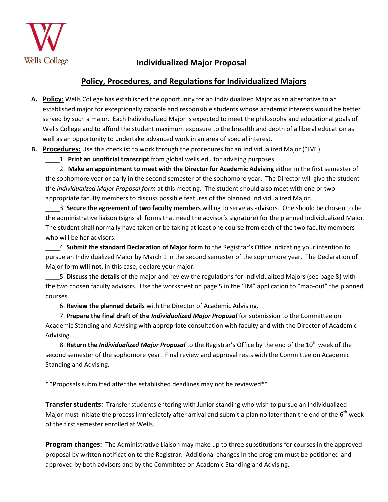

## **Individualized Major Proposal**

## **Policy, Procedures, and Regulations for Individualized Majors**

- **A. Policy**: Wells College has established the opportunity for an Individualized Major as an alternative to an established major for exceptionally capable and responsible students whose academic interests would be better served by such a major. Each Individualized Major is expected to meet the philosophy and educational goals of Wells College and to afford the student maximum exposure to the breadth and depth of a liberal education as well as an opportunity to undertake advanced work in an area of special interest.
- **B. Procedures:** Use this checklist to work through the procedures for an Individualized Major ("IM")

\_\_\_\_1. **Print an unofficial transcript** from global.wells.edu for advising purposes

\_\_\_\_2. **Make an appointment to meet with the Director for Academic Advising** either in the first semester of the sophomore year or early in the second semester of the sophomore year. The Director will give the student the *Individualized Major Proposal form* at this meeting. The student should also meet with one or two appropriate faculty members to discuss possible features of the planned Individualized Major.

\_\_\_\_3. **Secure the agreement of two faculty members** willing to serve as advisors. One should be chosen to be the administrative liaison (signs all forms that need the advisor's signature) for the planned Individualized Major. The student shall normally have taken or be taking at least one course from each of the two faculty members who will be her advisors.

\_\_\_\_4. **Submit the standard Declaration of Major form** to the Registrar's Office indicating your intention to pursue an Individualized Major by March 1 in the second semester of the sophomore year. The Declaration of Major form **will not**, in this case, declare your major.

\_\_\_\_5. **Discuss the details** of the major and review the regulations for Individualized Majors (see page 8) with the two chosen faculty advisors. Use the worksheet on page 5 in the "IM" application to "map-out" the planned courses.

\_\_\_\_6. **Review the planned details** with the Director of Academic Advising.

\_\_\_\_7. **Prepare the final draft of the** *Individualized Major Proposal* for submission to the Committee on Academic Standing and Advising with appropriate consultation with faculty and with the Director of Academic Advising.

<sub>-</sub>8. **Return the** *Individualized Major Proposal* to the Registrar's Office by the end of the 10<sup>th</sup> week of the second semester of the sophomore year. Final review and approval rests with the Committee on Academic Standing and Advising.

\*\*Proposals submitted after the established deadlines may not be reviewed\*\*

**Transfer students:** Transfer students entering with Junior standing who wish to pursue an Individualized Major must initiate the process immediately after arrival and submit a plan no later than the end of the  $6<sup>th</sup>$  week of the first semester enrolled at Wells.

**Program changes:** The Administrative Liaison may make up to three substitutions for courses in the approved proposal by written notification to the Registrar. Additional changes in the program must be petitioned and approved by both advisors and by the Committee on Academic Standing and Advising.